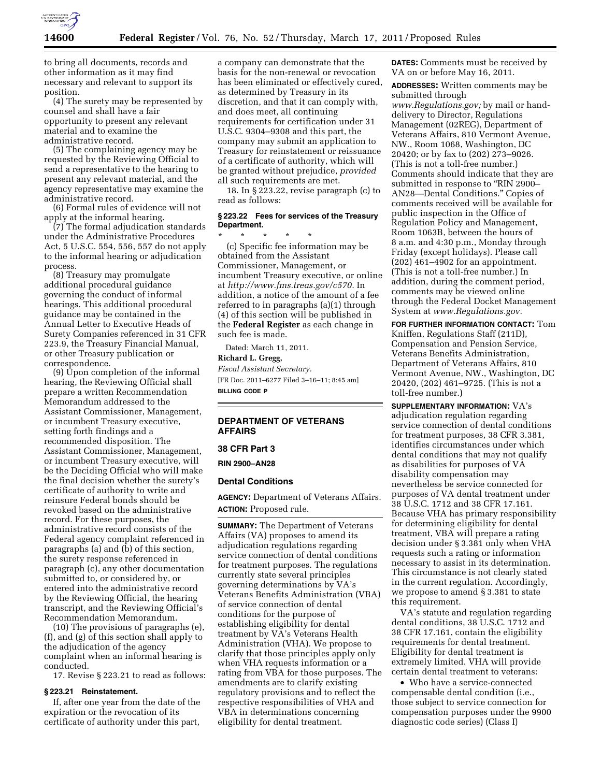

to bring all documents, records and other information as it may find necessary and relevant to support its position.

(4) The surety may be represented by counsel and shall have a fair opportunity to present any relevant material and to examine the administrative record.

(5) The complaining agency may be requested by the Reviewing Official to send a representative to the hearing to present any relevant material, and the agency representative may examine the administrative record.

(6) Formal rules of evidence will not apply at the informal hearing.

(7) The formal adjudication standards under the Administrative Procedures Act, 5 U.S.C. 554, 556, 557 do not apply to the informal hearing or adjudication process.

(8) Treasury may promulgate additional procedural guidance governing the conduct of informal hearings. This additional procedural guidance may be contained in the Annual Letter to Executive Heads of Surety Companies referenced in 31 CFR 223.9, the Treasury Financial Manual, or other Treasury publication or correspondence.

(9) Upon completion of the informal hearing, the Reviewing Official shall prepare a written Recommendation Memorandum addressed to the Assistant Commissioner, Management, or incumbent Treasury executive, setting forth findings and a recommended disposition. The Assistant Commissioner, Management, or incumbent Treasury executive, will be the Deciding Official who will make the final decision whether the surety's certificate of authority to write and reinsure Federal bonds should be revoked based on the administrative record. For these purposes, the administrative record consists of the Federal agency complaint referenced in paragraphs (a) and (b) of this section, the surety response referenced in paragraph (c), any other documentation submitted to, or considered by, or entered into the administrative record by the Reviewing Official, the hearing transcript, and the Reviewing Official's Recommendation Memorandum.

(10) The provisions of paragraphs (e), (f), and (g) of this section shall apply to the adjudication of the agency complaint when an informal hearing is conducted.

17. Revise § 223.21 to read as follows:

### **§ 223.21 Reinstatement.**

If, after one year from the date of the expiration or the revocation of its certificate of authority under this part,

a company can demonstrate that the basis for the non-renewal or revocation has been eliminated or effectively cured, as determined by Treasury in its discretion, and that it can comply with, and does meet, all continuing requirements for certification under 31 U.S.C. 9304–9308 and this part, the company may submit an application to Treasury for reinstatement or reissuance of a certificate of authority, which will be granted without prejudice, *provided*  all such requirements are met.

18. In § 223.22, revise paragraph (c) to read as follows:

# **§ 223.22 Fees for services of the Treasury Department.**

\* \* \* \* \* (c) Specific fee information may be obtained from the Assistant Commissioner, Management, or incumbent Treasury executive, or online at *[http://www.fms.treas.gov/c570.](http://www.fms.treas.gov/c570)* In addition, a notice of the amount of a fee referred to in paragraphs (a)(1) through (4) of this section will be published in the **Federal Register** as each change in such fee is made.

Dated: March 11, 2011.

# **Richard L. Gregg,**

*Fiscal Assistant Secretary.*  [FR Doc. 2011–6277 Filed 3–16–11; 8:45 am] **BILLING CODE P** 

## **DEPARTMENT OF VETERANS AFFAIRS**

# **38 CFR Part 3**

**RIN 2900–AN28** 

### **Dental Conditions**

**AGENCY:** Department of Veterans Affairs. **ACTION:** Proposed rule.

**SUMMARY:** The Department of Veterans Affairs (VA) proposes to amend its adjudication regulations regarding service connection of dental conditions for treatment purposes. The regulations currently state several principles governing determinations by VA's Veterans Benefits Administration (VBA) of service connection of dental conditions for the purpose of establishing eligibility for dental treatment by VA's Veterans Health Administration (VHA). We propose to clarify that those principles apply only when VHA requests information or a rating from VBA for those purposes. The amendments are to clarify existing regulatory provisions and to reflect the respective responsibilities of VHA and VBA in determinations concerning eligibility for dental treatment.

**DATES:** Comments must be received by VA on or before May 16, 2011.

**ADDRESSES:** Written comments may be submitted through *[www.Regulations.gov;](http://www.Regulations.gov)* by mail or handdelivery to Director, Regulations Management (02REG), Department of Veterans Affairs, 810 Vermont Avenue, NW., Room 1068, Washington, DC 20420; or by fax to (202) 273–9026. (This is not a toll-free number.) Comments should indicate that they are submitted in response to "RIN 2900– AN28—Dental Conditions.'' Copies of comments received will be available for public inspection in the Office of Regulation Policy and Management, Room 1063B, between the hours of 8 a.m. and 4:30 p.m., Monday through Friday (except holidays). Please call (202) 461–4902 for an appointment. (This is not a toll-free number.) In addition, during the comment period, comments may be viewed online through the Federal Docket Management System at *[www.Regulations.gov.](http://www.Regulations.gov)* 

**FOR FURTHER INFORMATION CONTACT:** Tom Kniffen, Regulations Staff (211D), Compensation and Pension Service, Veterans Benefits Administration, Department of Veterans Affairs, 810 Vermont Avenue, NW., Washington, DC 20420, (202) 461–9725. (This is not a toll-free number.)

**SUPPLEMENTARY INFORMATION:** VA's adjudication regulation regarding service connection of dental conditions for treatment purposes, 38 CFR 3.381, identifies circumstances under which dental conditions that may not qualify as disabilities for purposes of VA disability compensation may nevertheless be service connected for purposes of VA dental treatment under 38 U.S.C. 1712 and 38 CFR 17.161. Because VHA has primary responsibility for determining eligibility for dental treatment, VBA will prepare a rating decision under § 3.381 only when VHA requests such a rating or information necessary to assist in its determination. This circumstance is not clearly stated in the current regulation. Accordingly, we propose to amend § 3.381 to state this requirement.

VA's statute and regulation regarding dental conditions, 38 U.S.C. 1712 and 38 CFR 17.161, contain the eligibility requirements for dental treatment. Eligibility for dental treatment is extremely limited. VHA will provide certain dental treatment to veterans:

• Who have a service-connected compensable dental condition (i.e., those subject to service connection for compensation purposes under the 9900 diagnostic code series) (Class I)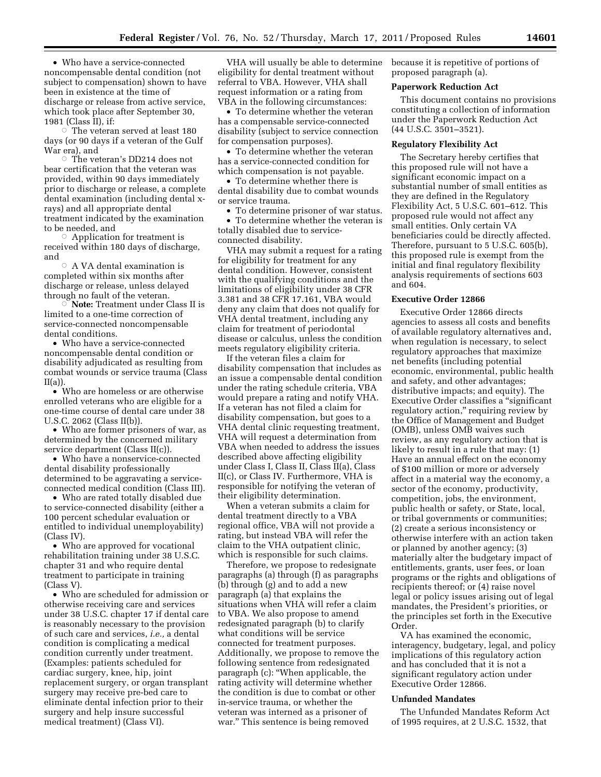• Who have a service-connected noncompensable dental condition (not subject to compensation) shown to have been in existence at the time of discharge or release from active service, which took place after September 30, 1981 (Class II), if:

 $\circ$  The veteran served at least 180 days (or 90 days if a veteran of the Gulf War era), and

Æ The veteran's DD214 does not bear certification that the veteran was provided, within 90 days immediately prior to discharge or release, a complete dental examination (including dental xrays) and all appropriate dental treatment indicated by the examination to be needed, and

 $\circ$  Application for treatment is received within 180 days of discharge, and

 $\circ$  A VA dental examination is completed within six months after discharge or release, unless delayed through no fault of the veteran.<br>© **Note:** Treatment under C

 **Note:** Treatment under Class II is limited to a one-time correction of service-connected noncompensable dental conditions.

• Who have a service-connected noncompensable dental condition or disability adjudicated as resulting from combat wounds or service trauma (Class  $II(a)$ ).

• Who are homeless or are otherwise enrolled veterans who are eligible for a one-time course of dental care under 38 U.S.C. 2062 (Class II(b)).

• Who are former prisoners of war, as determined by the concerned military service department (Class II(c)).

• Who have a nonservice-connected dental disability professionally determined to be aggravating a serviceconnected medical condition (Class III).

• Who are rated totally disabled due to service-connected disability (either a 100 percent schedular evaluation or entitled to individual unemployability) (Class IV).

• Who are approved for vocational rehabilitation training under 38 U.S.C. chapter 31 and who require dental treatment to participate in training (Class V).

• Who are scheduled for admission or otherwise receiving care and services under 38 U.S.C. chapter 17 if dental care is reasonably necessary to the provision of such care and services, *i.e.,* a dental condition is complicating a medical condition currently under treatment. (Examples: patients scheduled for cardiac surgery, knee, hip, joint replacement surgery, or organ transplant surgery may receive pre-bed care to eliminate dental infection prior to their surgery and help insure successful medical treatment) (Class VI).

VHA will usually be able to determine eligibility for dental treatment without referral to VBA. However, VHA shall request information or a rating from VBA in the following circumstances:

• To determine whether the veteran has a compensable service-connected disability (subject to service connection for compensation purposes).

• To determine whether the veteran has a service-connected condition for which compensation is not payable.

• To determine whether there is dental disability due to combat wounds or service trauma.

• To determine prisoner of war status. • To determine whether the veteran is totally disabled due to service-

connected disability.

VHA may submit a request for a rating for eligibility for treatment for any dental condition. However, consistent with the qualifying conditions and the limitations of eligibility under 38 CFR 3.381 and 38 CFR 17.161, VBA would deny any claim that does not qualify for VHA dental treatment, including any claim for treatment of periodontal disease or calculus, unless the condition meets regulatory eligibility criteria.

If the veteran files a claim for disability compensation that includes as an issue a compensable dental condition under the rating schedule criteria, VBA would prepare a rating and notify VHA. If a veteran has not filed a claim for disability compensation, but goes to a VHA dental clinic requesting treatment, VHA will request a determination from VBA when needed to address the issues described above affecting eligibility under Class I, Class II, Class II(a), Class II(c), or Class IV. Furthermore, VHA is responsible for notifying the veteran of their eligibility determination.

When a veteran submits a claim for dental treatment directly to a VBA regional office, VBA will not provide a rating, but instead VBA will refer the claim to the VHA outpatient clinic, which is responsible for such claims.

Therefore, we propose to redesignate paragraphs (a) through (f) as paragraphs (b) through (g) and to add a new paragraph (a) that explains the situations when VHA will refer a claim to VBA. We also propose to amend redesignated paragraph (b) to clarify what conditions will be service connected for treatment purposes. Additionally, we propose to remove the following sentence from redesignated paragraph (c): ''When applicable, the rating activity will determine whether the condition is due to combat or other in-service trauma, or whether the veteran was interned as a prisoner of war.'' This sentence is being removed

because it is repetitive of portions of proposed paragraph (a).

#### **Paperwork Reduction Act**

This document contains no provisions constituting a collection of information under the Paperwork Reduction Act (44 U.S.C. 3501–3521).

# **Regulatory Flexibility Act**

The Secretary hereby certifies that this proposed rule will not have a significant economic impact on a substantial number of small entities as they are defined in the Regulatory Flexibility Act, 5 U.S.C. 601–612. This proposed rule would not affect any small entities. Only certain VA beneficiaries could be directly affected. Therefore, pursuant to 5 U.S.C. 605(b), this proposed rule is exempt from the initial and final regulatory flexibility analysis requirements of sections 603 and 604.

#### **Executive Order 12866**

Executive Order 12866 directs agencies to assess all costs and benefits of available regulatory alternatives and, when regulation is necessary, to select regulatory approaches that maximize net benefits (including potential economic, environmental, public health and safety, and other advantages; distributive impacts; and equity). The Executive Order classifies a ''significant regulatory action,'' requiring review by the Office of Management and Budget (OMB), unless OMB waives such review, as any regulatory action that is likely to result in a rule that may: (1) Have an annual effect on the economy of \$100 million or more or adversely affect in a material way the economy, a sector of the economy, productivity, competition, jobs, the environment, public health or safety, or State, local, or tribal governments or communities; (2) create a serious inconsistency or otherwise interfere with an action taken or planned by another agency; (3) materially alter the budgetary impact of entitlements, grants, user fees, or loan programs or the rights and obligations of recipients thereof; or (4) raise novel legal or policy issues arising out of legal mandates, the President's priorities, or the principles set forth in the Executive Order.

VA has examined the economic, interagency, budgetary, legal, and policy implications of this regulatory action and has concluded that it is not a significant regulatory action under Executive Order 12866.

### **Unfunded Mandates**

The Unfunded Mandates Reform Act of 1995 requires, at 2 U.S.C. 1532, that